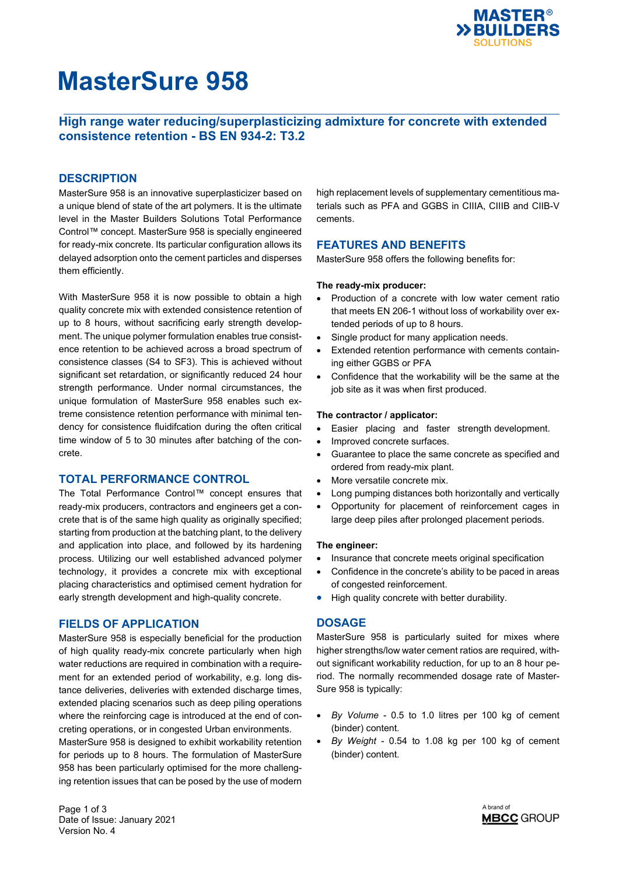

# **MasterSure 958**

# **High range water reducing/superplasticizing admixture for concrete with extended consistence retention - BS EN 934-2: T3.2**

## **DESCRIPTION**

MasterSure 958 is an innovative superplasticizer based on a unique blend of state of the art polymers. It is the ultimate level in the Master Builders Solutions Total Performance Control™ concept. MasterSure 958 is specially engineered for ready-mix concrete. Its particular configuration allows its delayed adsorption onto the cement particles and disperses them efficiently.

With MasterSure 958 it is now possible to obtain a high quality concrete mix with extended consistence retention of up to 8 hours, without sacrificing early strength development. The unique polymer formulation enables true consistence retention to be achieved across a broad spectrum of consistence classes (S4 to SF3). This is achieved without significant set retardation, or significantly reduced 24 hour strength performance. Under normal circumstances, the unique formulation of MasterSure 958 enables such extreme consistence retention performance with minimal tendency for consistence fluidifcation during the often critical time window of 5 to 30 minutes after batching of the concrete.

### **TOTAL PERFORMANCE CONTROL**

The Total Performance Control™ concept ensures that ready-mix producers, contractors and engineers get a concrete that is of the same high quality as originally specified; starting from production at the batching plant, to the delivery and application into place, and followed by its hardening process. Utilizing our well established advanced polymer technology, it provides a concrete mix with exceptional placing characteristics and optimised cement hydration for early strength development and high-quality concrete.

### **FIELDS OF APPLICATION**

MasterSure 958 is especially beneficial for the production of high quality ready-mix concrete particularly when high water reductions are required in combination with a requirement for an extended period of workability, e.g. long distance deliveries, deliveries with extended discharge times, extended placing scenarios such as deep piling operations where the reinforcing cage is introduced at the end of concreting operations, or in congested Urban environments.

MasterSure 958 is designed to exhibit workability retention for periods up to 8 hours. The formulation of MasterSure 958 has been particularly optimised for the more challenging retention issues that can be posed by the use of modern

Page 1 of 3 Date of Issue: January 2021 Version No. 4

high replacement levels of supplementary cementitious materials such as PFA and GGBS in CIIIA, CIIIB and CIIB-V cements.

## **FEATURES AND BENEFITS**

MasterSure 958 offers the following benefits for:

#### **The ready-mix producer:**

- Production of a concrete with low water cement ratio that meets EN 206-1 without loss of workability over extended periods of up to 8 hours.
- Single product for many application needs.
- Extended retention performance with cements containing either GGBS or PFA
- Confidence that the workability will be the same at the job site as it was when first produced.

#### **The contractor / applicator:**

- Easier placing and faster strength development.
- Improved concrete surfaces.
- Guarantee to place the same concrete as specified and ordered from ready-mix plant.
- More versatile concrete mix.
- Long pumping distances both horizontally and vertically
- Opportunity for placement of reinforcement cages in large deep piles after prolonged placement periods.

#### **The engineer:**

- Insurance that concrete meets original specification
- Confidence in the concrete's ability to be paced in areas of congested reinforcement.
- High quality concrete with better durability.

### **DOSAGE**

MasterSure 958 is particularly suited for mixes where higher strengths/low water cement ratios are required, without significant workability reduction, for up to an 8 hour period. The normally recommended dosage rate of Master-Sure 958 is typically:

- *By Volume* 0.5 to 1.0 litres per 100 kg of cement (binder) content.
- *By Weight* 0.54 to 1.08 kg per 100 kg of cement (binder) content.

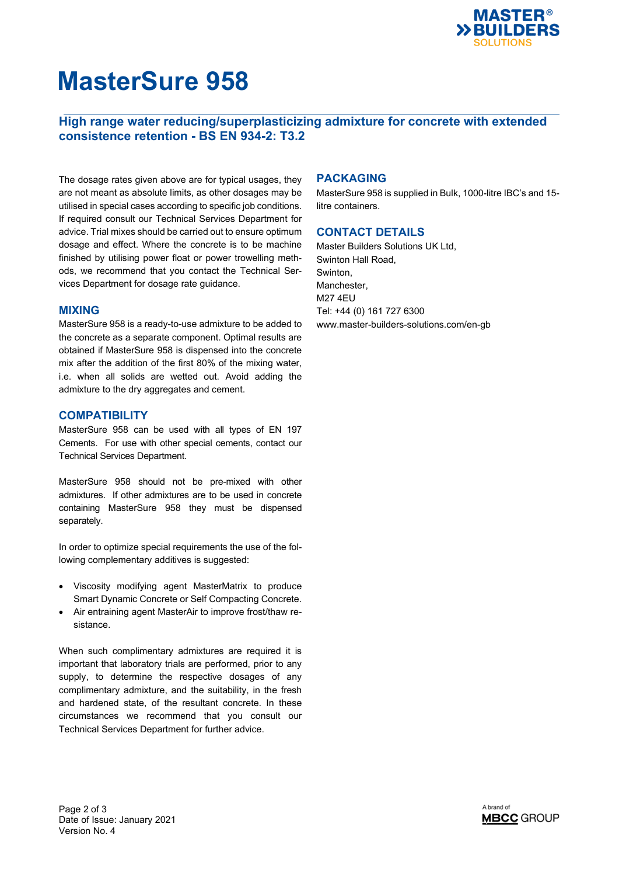

# **MasterSure 958**

# **High range water reducing/superplasticizing admixture for concrete with extended consistence retention - BS EN 934-2: T3.2**

The dosage rates given above are for typical usages, they are not meant as absolute limits, as other dosages may be utilised in special cases according to specific job conditions. If required consult our Technical Services Department for advice. Trial mixes should be carried out to ensure optimum dosage and effect. Where the concrete is to be machine finished by utilising power float or power trowelling methods, we recommend that you contact the Technical Services Department for dosage rate guidance.

#### **MIXING**

MasterSure 958 is a ready-to-use admixture to be added to the concrete as a separate component. Optimal results are obtained if MasterSure 958 is dispensed into the concrete mix after the addition of the first 80% of the mixing water, i.e. when all solids are wetted out. Avoid adding the admixture to the dry aggregates and cement.

### **COMPATIBILITY**

MasterSure 958 can be used with all types of EN 197 Cements. For use with other special cements, contact our Technical Services Department.

MasterSure 958 should not be pre-mixed with other admixtures. If other admixtures are to be used in concrete containing MasterSure 958 they must be dispensed separately.

In order to optimize special requirements the use of the following complementary additives is suggested:

- Viscosity modifying agent MasterMatrix to produce Smart Dynamic Concrete or Self Compacting Concrete.
- Air entraining agent MasterAir to improve frost/thaw resistance.

When such complimentary admixtures are required it is important that laboratory trials are performed, prior to any supply, to determine the respective dosages of any complimentary admixture, and the suitability, in the fresh and hardened state, of the resultant concrete. In these circumstances we recommend that you consult our Technical Services Department for further advice.

## **PACKAGING**

MasterSure 958 is supplied in Bulk, 1000-litre IBC's and 15 litre containers.

#### **CONTACT DETAILS**

Master Builders Solutions UK Ltd, Swinton Hall Road, Swinton, Manchester, M27 4EU Tel: +44 (0) 161 727 6300 www.master-builders-solutions.com/en-gb